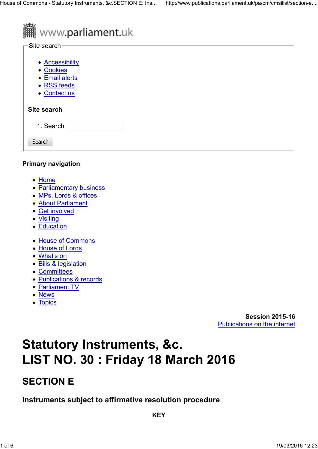

# **I** www.parliament.uk

#### -Site search-

- Accessibility
- Cookies
- Email alerts
- RSS feeds
- Contact us

# **Site search**

1. Search

Search

### **Primary navigation**

- Home
- Parliamentary business
- MPs, Lords & offices
- About Parliament
- Get involved
- Visiting
- Education
- House of Commons
- House of Lords
- What's on
- Bills & legislation
- Committees
- Publications & records
- Parliament TV
- News
- Topics

**Session 2015-16** Publications on the internet

# **Statutory Instruments, &c. LIST NO. 30 : Friday 18 March 2016**

# **SECTION E**

**Instruments subject to affirmative resolution procedure**

**KEY**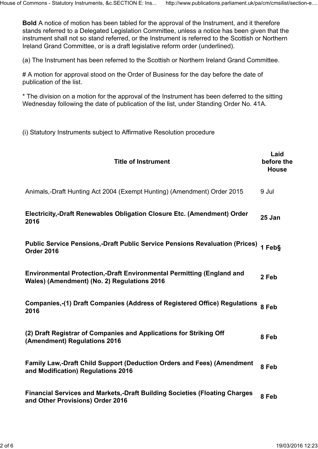**Bold** A notice of motion has been tabled for the approval of the Instrument, and it therefore stands referred to a Delegated Legislation Committee, unless a notice has been given that the instrument shall not so stand referred, or the Instrument is referred to the Scottish or Northern Ireland Grand Committee, or is a draft legislative reform order (underlined).

(a) The Instrument has been referred to the Scottish or Northern Ireland Grand Committee.

# A motion for approval stood on the Order of Business for the day before the date of publication of the list.

\* The division on a motion for the approval of the Instrument has been deferred to the sitting Wednesday following the date of publication of the list, under Standing Order No. 41A.

(i) Statutory Instruments subject to Affirmative Resolution procedure

| <b>Title of Instrument</b>                                                                                                  | Laid<br>before the<br><b>House</b> |
|-----------------------------------------------------------------------------------------------------------------------------|------------------------------------|
| Animals,-Draft Hunting Act 2004 (Exempt Hunting) (Amendment) Order 2015                                                     | 9 Jul                              |
| Electricity,-Draft Renewables Obligation Closure Etc. (Amendment) Order<br>2016                                             | 25 Jan                             |
| <b>Public Service Pensions,-Draft Public Service Pensions Revaluation (Prices)</b><br><b>Order 2016</b>                     | 1 Feb§                             |
| <b>Environmental Protection,-Draft Environmental Permitting (England and</b><br>Wales) (Amendment) (No. 2) Regulations 2016 | 2 Feb                              |
| <b>Companies,-(1) Draft Companies (Address of Registered Office) Regulations</b><br>2016                                    | 8 Feb                              |
| (2) Draft Registrar of Companies and Applications for Striking Off<br>(Amendment) Regulations 2016                          | 8 Feb                              |
| <b>Family Law,-Draft Child Support (Deduction Orders and Fees) (Amendment</b><br>and Modification) Regulations 2016         | 8 Feb                              |
| <b>Financial Services and Markets,-Draft Building Societies (Floating Charges)</b><br>and Other Provisions) Order 2016      | 8 Feb                              |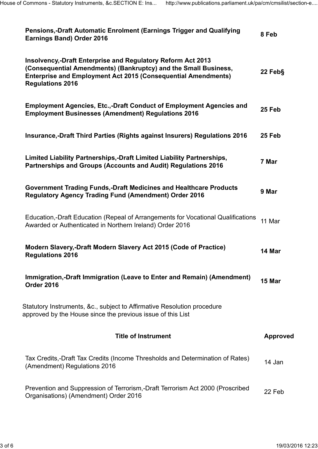| Pensions,-Draft Automatic Enrolment (Earnings Trigger and Qualifying<br><b>Earnings Band) Order 2016</b>                                                                                                                          | 8 Feb           |  |  |  |
|-----------------------------------------------------------------------------------------------------------------------------------------------------------------------------------------------------------------------------------|-----------------|--|--|--|
| Insolvency,-Draft Enterprise and Regulatory Reform Act 2013<br>(Consequential Amendments) (Bankruptcy) and the Small Business,<br><b>Enterprise and Employment Act 2015 (Consequential Amendments)</b><br><b>Regulations 2016</b> |                 |  |  |  |
| <b>Employment Agencies, Etc.,-Draft Conduct of Employment Agencies and</b><br><b>Employment Businesses (Amendment) Regulations 2016</b>                                                                                           | 25 Feb          |  |  |  |
| Insurance,-Draft Third Parties (Rights against Insurers) Regulations 2016                                                                                                                                                         | 25 Feb          |  |  |  |
| Limited Liability Partnerships,-Draft Limited Liability Partnerships,<br>Partnerships and Groups (Accounts and Audit) Regulations 2016                                                                                            |                 |  |  |  |
| <b>Government Trading Funds,-Draft Medicines and Healthcare Products</b><br><b>Regulatory Agency Trading Fund (Amendment) Order 2016</b>                                                                                          | 9 Mar           |  |  |  |
| Education,-Draft Education (Repeal of Arrangements for Vocational Qualifications<br>Awarded or Authenticated in Northern Ireland) Order 2016                                                                                      |                 |  |  |  |
| Modern Slavery,-Draft Modern Slavery Act 2015 (Code of Practice)<br><b>Regulations 2016</b>                                                                                                                                       | 14 Mar          |  |  |  |
| Immigration,-Draft Immigration (Leave to Enter and Remain) (Amendment)<br>Order 2016                                                                                                                                              | 15 Mar          |  |  |  |
| Statutory Instruments, &c., subject to Affirmative Resolution procedure<br>approved by the House since the previous issue of this List                                                                                            |                 |  |  |  |
| <b>Title of Instrument</b>                                                                                                                                                                                                        | <b>Approved</b> |  |  |  |
| Tax Credits,-Draft Tax Credits (Income Thresholds and Determination of Rates)<br>(Amendment) Regulations 2016                                                                                                                     | 14 Jan          |  |  |  |
| Prevention and Suppression of Terrorism,-Draft Terrorism Act 2000 (Proscribed<br>Organisations) (Amendment) Order 2016                                                                                                            |                 |  |  |  |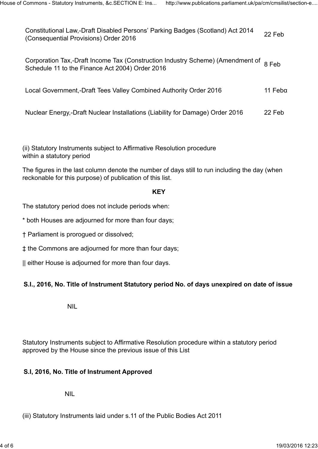Constitutional Law,-Draft Disabled Persons' Parking Badges (Scotland) Act 2014 Constitutional Law,-Drait Disabled Fersons Training Dauges (Occiliand) Act 2014 22 Feb<br>(Consequential Provisions) Order 2016

Corporation Tax,-Draft Income Tax (Construction Industry Scheme) (Amendment of  $\:$  8 Feb<br>Schedule 11 to the Finance Act 2004) Order 2016

Local Government,-Draft Tees Valley Combined Authority Order 2016 11 Febα

Nuclear Energy,-Draft Nuclear Installations (Liability for Damage) Order 2016 22 Feb

(ii) Statutory Instruments subject to Affirmative Resolution procedure within a statutory period

The figures in the last column denote the number of days still to run including the day (when reckonable for this purpose) of publication of this list.

#### **KEY**

The statutory period does not include periods when:

\* both Houses are adjourned for more than four days;

† Parliament is prorogued or dissolved;

‡ the Commons are adjourned for more than four days;

|| either House is adjourned for more than four days.

### **S.I., 2016, No. Title of Instrument Statutory period No. of days unexpired on date of issue**

NIL

Statutory Instruments subject to Affirmative Resolution procedure within a statutory period approved by the House since the previous issue of this List

#### **S.I, 2016, No. Title of Instrument Approved**

NIL

(iii) Statutory Instruments laid under s.11 of the Public Bodies Act 2011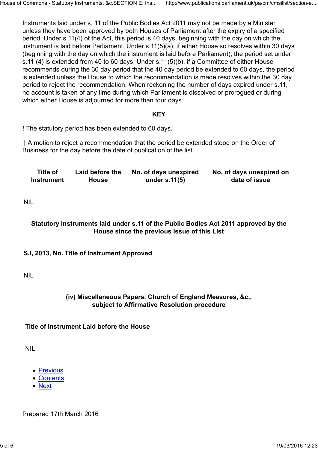Instruments laid under s. 11 of the Public Bodies Act 2011 may not be made by a Minister unless they have been approved by both Houses of Parliament after the expiry of a specified period. Under s.11(4) of the Act, this period is 40 days, beginning with the day on which the instrument is laid before Parliament. Under s.11(5)(a), if either House so resolves within 30 days (beginning with the day on which the instrument is laid before Parliament), the period set under s.11 (4) is extended from 40 to 60 days. Under s.11(5)(b), if a Committee of either House recommends during the 30 day period that the 40 day period be extended to 60 days, the period is extended unless the House to which the recommendation is made resolves within the 30 day period to reject the recommendation. When reckoning the number of days expired under s.11, no account is taken of any time during which Parliament is dissolved or prorogued or during which either House is adjourned for more than four days.

#### **KEY**

! The statutory period has been extended to 60 days.

† A motion to reject a recommendation that the period be extended stood on the Order of Business for the day before the date of publication of the list.

| Title of          | Laid before the | No. of days unexpired | No. of days unexpired on |
|-------------------|-----------------|-----------------------|--------------------------|
| <b>Instrument</b> | <b>House</b>    | under $s.11(5)$       | date of issue            |

NIL

#### **Statutory Instruments laid under s.11 of the Public Bodies Act 2011 approved by the House since the previous issue of this List**

#### **S.I, 2013, No. Title of Instrument Approved**

NIL

#### **(iv) Miscellaneous Papers, Church of England Measures, &c., subject to Affirmative Resolution procedure**

#### **Title of Instrument Laid before the House**

NIL

- Previous
- Contents
- Next

Prepared 17th March 2016